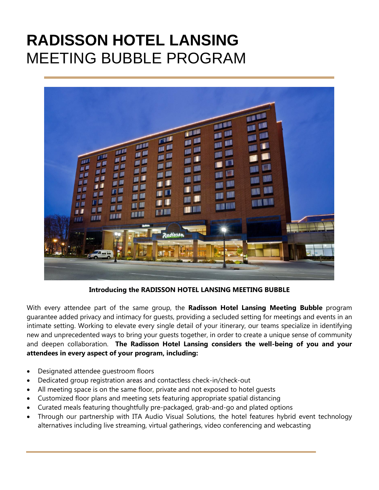# **RADISSON HOTEL LANSING** MEETING BUBBLE PROGRAM



**Introducing the RADISSON HOTEL LANSING MEETING BUBBLE**

With every attendee part of the same group, the **Radisson Hotel Lansing Meeting Bubble** program guarantee added privacy and intimacy for guests, providing a secluded setting for meetings and events in an intimate setting. Working to elevate every single detail of your itinerary, our teams specialize in identifying new and unprecedented ways to bring your guests together, in order to create a unique sense of community and deepen collaboration. **The Radisson Hotel Lansing considers the well-being of you and your attendees in every aspect of your program, including:**

- Designated attendee guestroom floors
- Dedicated group registration areas and contactless check-in/check-out
- All meeting space is on the same floor, private and not exposed to hotel guests
- Customized floor plans and meeting sets featuring appropriate spatial distancing
- Curated meals featuring thoughtfully pre-packaged, grab-and-go and plated options
- Through our partnership with ITA Audio Visual Solutions, the hotel features hybrid event technology alternatives including live streaming, virtual gatherings, video conferencing and webcasting